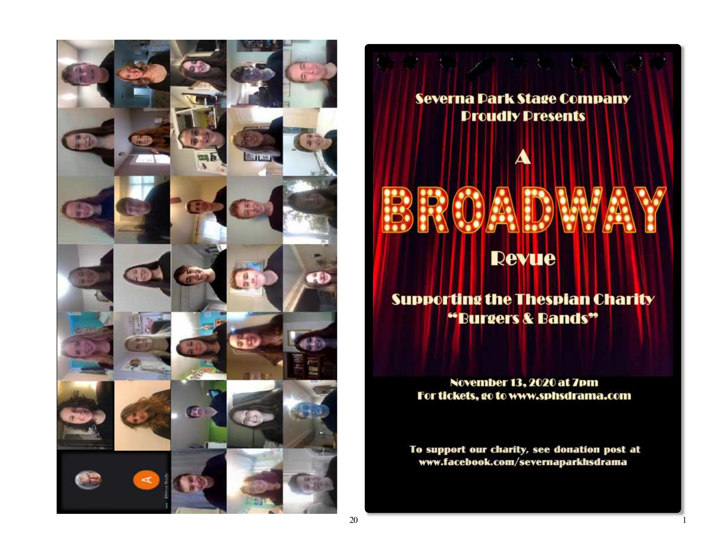

Severna Dark Stage Company **Proudly Presents** 

# **Revue**

**Supporting the Thespian Charity** "Burgers & Bands"

November 13, 2020 at 7pm For tickets, go to www.sphsdrama.com

To support our charity, see donation post at www.facebook.com/severnaparkhsdrama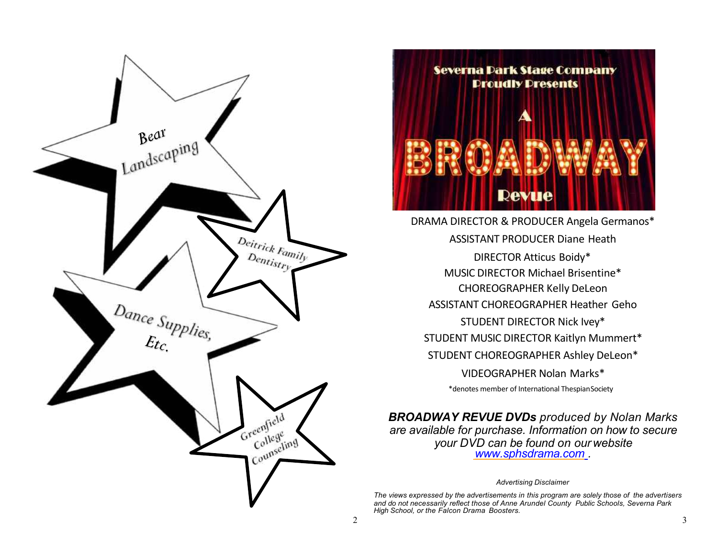



DRAMA DIRECTOR & PRODUCER Angela Germanos\* ASSISTANT PRODUCER Diane Heath DIRECTOR Atticus Boidy\* MUSIC DIRECTOR Michael Brisentine\* CHOREOGRAPHER Kelly DeLeon ASSISTANT CHOREOGRAPHER Heather Geho STUDENT DIRECTOR Nick Ivey\* STUDENT MUSIC DIRECTOR Kaitlyn Mummert\* STUDENT CHOREOGRAPHER Ashley DeLeon\* VIDEOGRAPHER Nolan Marks\* \*denotes member of International ThespianSociety

*BROADWAY REVUE DVDs produced by Nolan Marks are available for purchase. Information on how to secure your DVD can be found on our website [www.sphsdrama](http://www.sphsdrama.com/).com .*

#### *Advertising Disclaimer*

*The views expressed by the advertisements in this program are solely those of the advertisers and do not necessarily reflect those of Anne Arundel County Public Schools, Severna Park High School, or the Falcon Drama Boosters.*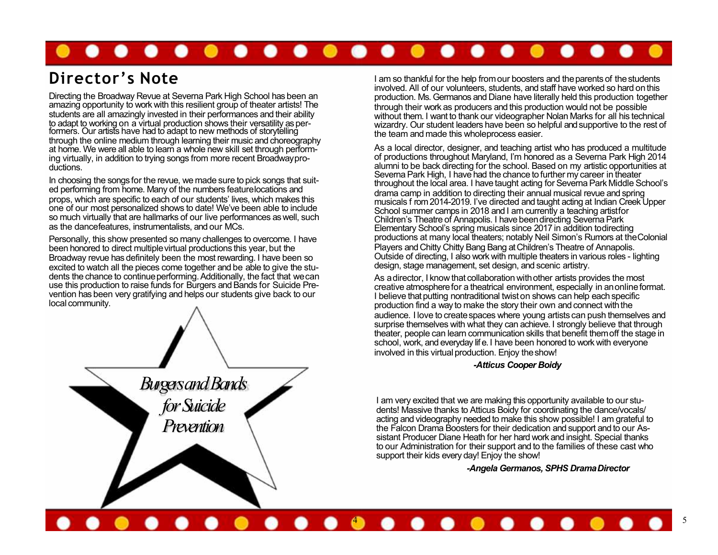## $\bullet\bullet\bullet\bullet\bullet\bullet$  $\bullet\bullet\bullet\bullet\bullet\bullet\bullet\bullet$

# **Director's Note**

Directing the Broadway Revue at Severna Park High School has been an amazing opportunity to work with this resilient group of theater artists! The students are all amazingly invested in their performances and their ability to adapt to working on a virtual production shows their versatility as per- formers. Our artists have had to adapt to new methods of storytelling through the online medium through learning their music and choreography at home. We were all able to learn a whole new skill set through performing virtually, in addition to trying songs from more recent Broadwayproductions.

In choosing the songs for the revue, we made sure to pick songs that suited performing from home. Many of the numbers featurelocations and props, which are specific to each of our students' lives, which makes this one of our most personalized shows to date! We've been able to include so much virtually that are hallmarks of our live performances as well, such as the dancefeatures, instrumentalists, and our MCs.

Personally, this show presented so many challenges to overcome. I have been honored to direct multiplevirtual productions this year, but the Broadway revue has definitely been the most rewarding. I have been so excited to watch all the pieces come together and be able to give the students the chance to continue performing. Additionally, the fact that we can use this production to raise funds for Burgers and Bands for Suicide Prevention has been very gratifying and helps our students give back to our local community.



I am so thankful for the help from our boosters and the parents of the students involved. All of our volunteers, students, and staff have worked so hard onthis production. Ms. Germanos and Diane have literally held this production together through their work as producers and this production would not be possible without them. I want to thank our videographer Nolan Marks for all his technical wizardry. Our student leaders have been so helpful and supportive to the rest of the team and made this wholeprocess easier.

As a local director, designer, and teaching artist who has produced a multitude of productions throughout Maryland, I'm honored as a Severna Park High 2014 alumni to be back directing for the school. Based on my artistic opportunities at Severna Park High, I have had the chance to further my career in theater throughout the local area. I have taught acting for SevernaPark Middle School's drama camp in addition to directing their annual musical revue and spring musicals f rom 2014-2019. I've directed and taught acting at Indian Creek Upper School summer camps in 2018 and I am currently a teaching artistfor Children's Theatre of Annapolis. I have beendirecting SevernaPark Elementary School's spring musicals since 2017 in addition todirecting productions at many local theaters; notably Neil Simon's Rumors at theColonial Players and Chitty Chitty Bang Bang at Children's Theatre of Annapolis. Outside of directing, I also work with multiple theaters in various roles - lighting design, stage management, set design, and scenic artistry.

As adirector, I know that collaboration withother artists provides the most creative atmospherefor a theatrical environment, especially in anonlineformat. I believe that putting nontraditional twist on shows can help each specific production find a way to make the story their own and connect with the audience. I love to createspaces where young artists can push themselves and surprise themselves with what they can achieve. I strongly believe that through theater, people can learn communication skills that benefit themoff the stage in school, work, and everyday lif e. I have been honored to work with everyone involved in this virtual production. Enjoy the show!

#### *-Atticus Cooper Boidy*

I am very excited that we are making this opportunity available to our students! Massive thanks to Atticus Boidy for coordinating the dance/vocals/ acting and videography needed to make this show possible! I am grateful to the Falcon Drama Boosters for their dedication and support and to our Assistant Producer Diane Heath for her hard work and insight. Special thanks to our Administration for their support and to the families of these cast who support their kids every day! Enjoy the show!

*-Angela Germanos, SPHS DramaDirector*

# . . . . . . . . . . . . . . . 5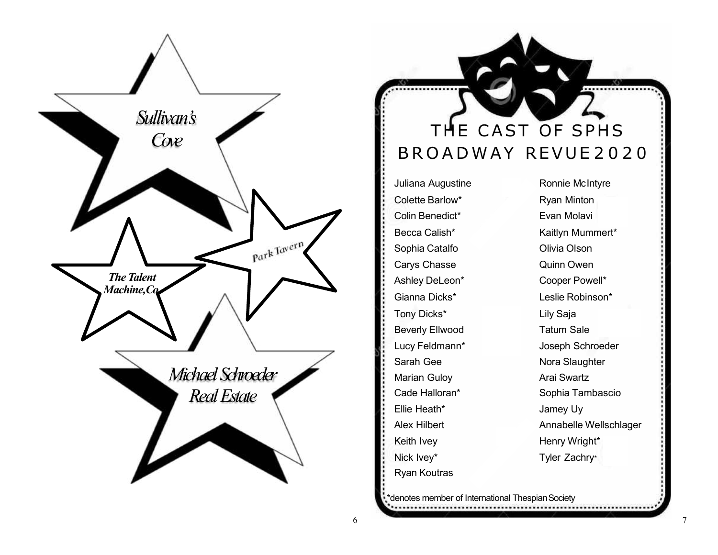

# THE CAST OF SPHS BROADWAY REVUE 2020

Juliana Augustine **Ronnie McIntyre** Colette Barlow\* Ryan Minton Colin Benedict\* Evan Molavi Becca Calish\* Kaitlyn Mummert\* Sophia Catalfo **Catalford Colivia Olson** Carys Chasse **Carys** Chasse **Quinn Owen** Ashley DeLeon\* Cooper Powell\* Gianna Dicks\* Leslie Robinson\* Tony Dicks<sup>\*</sup> Lily Saja Beverly Ellwood Tatum Sale Sarah Gee Nora Slaughter Marian Guloy **Arai Swartz** Ellie Heath\* Jamey Uy Keith Ivey **Henry Wright\*** Nick Ivey\* Tyler Zachry\* Ryan Koutras

Lucy Feldmann\* Joseph Schroeder Cade Halloran\* Sophia Tambascio Alex Hilbert **Annabelle Wellschlager** 

..............

denotes member of International Thespian Society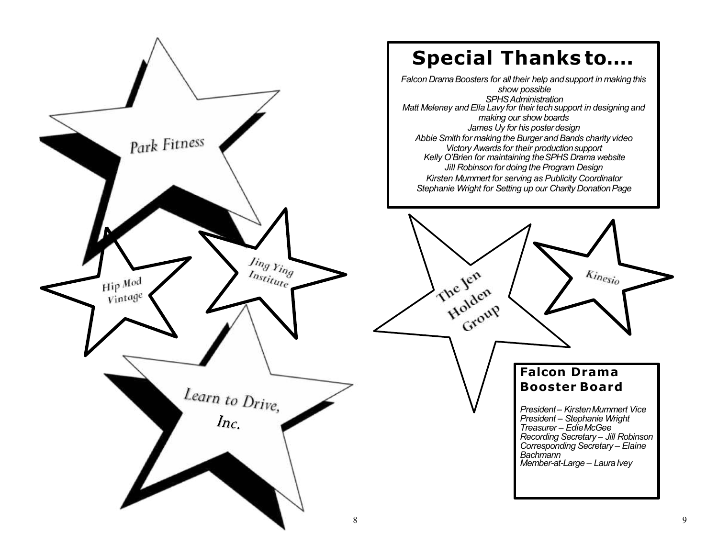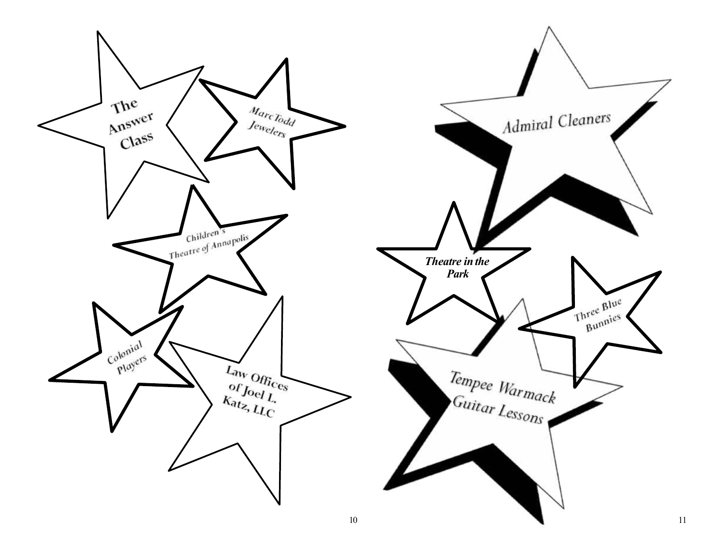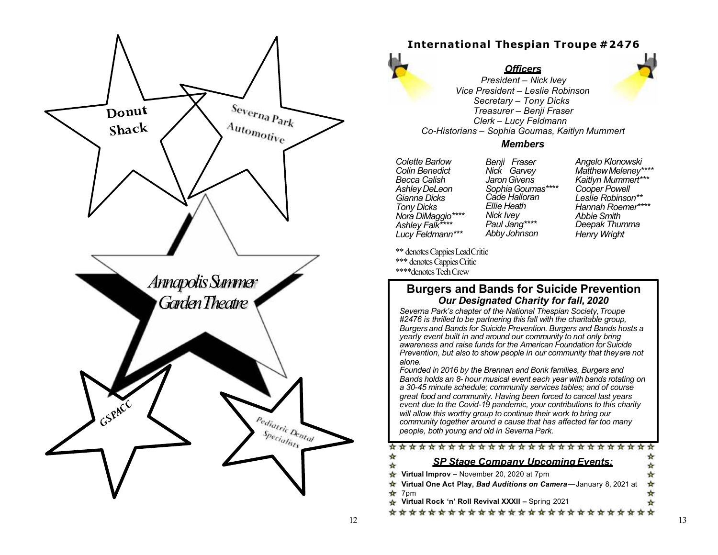

# **International Thespian Troupe #2476**

# *Officers*



*President – Nick Ivey Vice President – Leslie Robinson Secretary – Tony Dicks Treasurer – Benji Fraser Clerk – Lucy Feldmann Co -Historians – Sophia Goumas, Kaitlyn Mummert*

### *Members*

*Colette Barlow Colin Benedict Becca Calish AshleyDeLeon Gianna Dicks Tony Dicks Nora DiMaggio\*\*\*\* Ashley Falk\*\*\*\* Lucy Feldmann\*\*\** *Benji Fraser Nick Garvey JaronGivens SophiaGoumas\*\*\*\* Cade Halloran Ellie Heath Nick Ivey Paul Jang\*\*\*\* Abby Johnson*

*Angelo Klonowski MatthewMeleney\*\*\*\* Kaitlyn Mummert\*\*\* Cooper Powell Leslie Robinson\*\* Hannah Roemer\*\*\*\* Abbie Smith Deepak Thumma Henry Wright*

\*\* denotes Cappies LeadCritic \*\*\* denotes Cappies Critic \*\*\*\*denotes TechCrew

## **Burgers and Bands for Suicide Prevention** *Our Designated Charity for fall, 2020*

*Severna Park's chapter of the National Thespian Society,Troupe #2476 is thrilled to be partnering this fall with the charitable group, Burgers and Bands for Suicide Prevention. Burgers and Bands hosts a yearly event built in and around our community to not only bring awareness and raise funds for the American Foundation forSuicide Prevention, but also to show people in our community that theyare not alone.*

*Founded in 2016 by the Brennan and Bonk families, Burgers and Bands holds an 8- hour musical event each year with bands rotating on a 30 -45 minute schedule; community services tables; and of course great food and community. Having been forced to cancel last years event due to the Covid-19 pandemic, your contributions to this charity will allow this worthy group to continue their work to bring our community together around a cause that has affected far too many people, both young and old in Severna Park.*

#### \*\*\*\*\*\*\*\*\*\*\*\*\*\*\*\*\*\*\*\*\*\*\*\*\*\*

### *SP Stage Company Upcoming Events:* ÷

- **Virtual Improv –** November 20, 2020 at 7pm **Virtual One Act Play,** *Bad Auditions on Camera* **—**January 8, 2021 at  $\frac{1}{2}$  7pm
- **Virtual Rock 'n' Roll Revival XXXII –** Spring 2021

\*\*\*\*\*\*\*\*\*\*\*\*\*\*\*\*\*\*\*\*\*\*\*\*\*\*\*

∗ ÷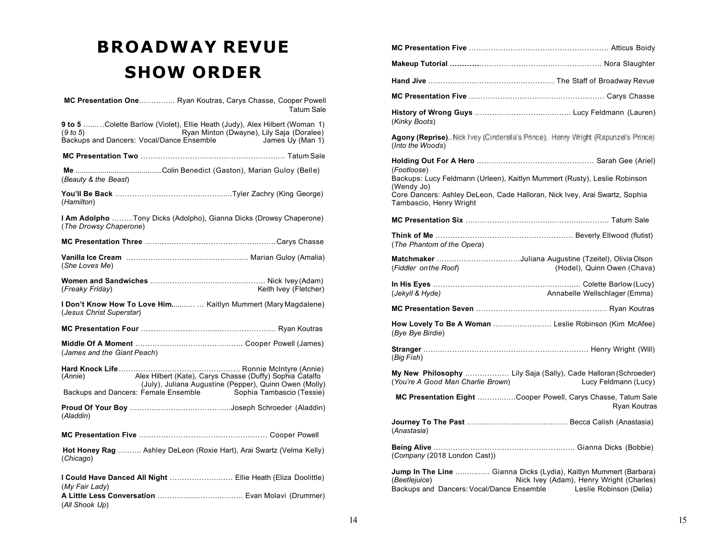# **BROADWAY REVUE SHOW ORDER**

| MC Presentation One Ryan Koutras, Carys Chasse, Cooper Powell<br><b>Tatum Sale</b>                                                                                                                               |
|------------------------------------------------------------------------------------------------------------------------------------------------------------------------------------------------------------------|
| 9 to 5  Colette Barlow (Violet), Ellie Heath (Judy), Alex Hilbert (Woman 1)<br>Ryan Minton (Dwayne), Lily Saja (Doralee)<br>(9 to 5)<br>Backups and Dancers: Vocal/Dance Ensemble in the Using Stanes Uy (Man 1) |
|                                                                                                                                                                                                                  |
| (Beauty & the Beast)                                                                                                                                                                                             |
| (Hamilton)                                                                                                                                                                                                       |
| I Am Adolpho Tony Dicks (Adolpho), Gianna Dicks (Drowsy Chaperone)<br>(The Drowsy Chaperone)                                                                                                                     |
|                                                                                                                                                                                                                  |
| (She Loves Me)                                                                                                                                                                                                   |
| (Freaky Friday)<br>Keith Ivey (Fletcher)                                                                                                                                                                         |
| I Don't Know How To Love Him  Kaitlyn Mummert (Mary Magdalene)<br>(Jesus Christ Superstar)                                                                                                                       |
|                                                                                                                                                                                                                  |
| (James and the Giant Peach)                                                                                                                                                                                      |
| Alex Hilbert (Kate), Carys Chasse (Duffy) Sophia Catalfo<br>(Annie)<br>(July), Juliana Augustine (Pepper), Quinn Owen (Molly)<br>Backups and Dancers: Female Ensemble Sophia Tambascio (Tessie)                  |
| (Aladdin)                                                                                                                                                                                                        |
|                                                                                                                                                                                                                  |
| Hot Honey Rag  Ashley DeLeon (Roxie Hart), Arai Swartz (Velma Kelly)<br>(Chicago)                                                                                                                                |
| I Could Have Danced All Night  Ellie Heath (Eliza Doolittle)<br>(My Fair Lady)                                                                                                                                   |
|                                                                                                                                                                                                                  |

(*All Shook Up*)

| (Kinky Boots)                                                                                                                                                                                       |
|-----------------------------------------------------------------------------------------------------------------------------------------------------------------------------------------------------|
| Agony (Reprise). Nick Ivey (Cinderella's Prince). Henry Wright (Rapunzel's Prince)<br>(Into the Woods)                                                                                              |
|                                                                                                                                                                                                     |
| (Footloose)<br>Backups: Lucy Feldmann (Urleen), Kaitlyn Mummert (Rusty), Leslie Robinson                                                                                                            |
| (Wendy Jo)<br>Core Dancers: Ashley DeLeon, Cade Halloran, Nick Ivey, Arai Swartz, Sophia<br>Tambascio, Henry Wright                                                                                 |
|                                                                                                                                                                                                     |
| (The Phantom of the Opera)                                                                                                                                                                          |
| Matchmaker Juliana Augustine (Tzeitel), Olivia Olson<br>(Hodel), Quinn Owen (Chava)<br>(Fiddler on the Roof)                                                                                        |
| Annabelle Wellschlager (Emma)<br>(Jekyll & Hyde)                                                                                                                                                    |
|                                                                                                                                                                                                     |
| How Lovely To Be A Woman  Leslie Robinson (Kim McAfee)<br>(Bye Bye Birdie)                                                                                                                          |
| (Big Fish)                                                                                                                                                                                          |
| My New Philosophy  Lily Saja (Sally), Cade Halloran (Schroeder)<br>(You're A Good Man Charlie Brown)<br>Lucy Feldmann (Lucy)                                                                        |
| MC Presentation Eight Cooper Powell, Carys Chasse, Tatum Sale<br><b>Ryan Koutras</b>                                                                                                                |
| (Anastasia)                                                                                                                                                                                         |
| (Company (2018 London Cast))                                                                                                                                                                        |
| Jump In The Line  Gianna Dicks (Lydia), Kaitlyn Mummert (Barbara)<br>Nick Ivey (Adam), Henry Wright (Charles)<br>(Beetlejuice)<br>Backups and Dancers: Vocal/Dance Ensemble Leslie Robinson (Delia) |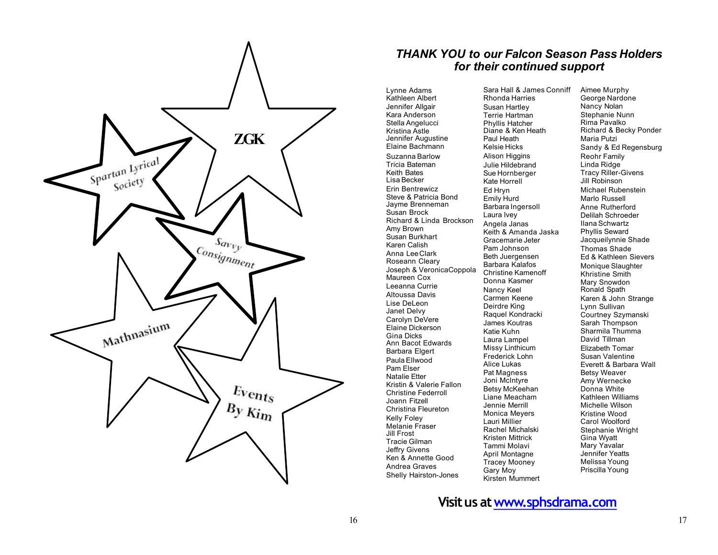

# *THANK YOU to our Falcon Season Pass Holders for their continued support*

Lynne Adams Kathleen Albert Jennifer Allgair Kara Anderson Stella Angelucci Kristina Astle Jennifer Augustine Elaine Bachmann Suzanna Barlow Tricia Bateman Keith Bates Lisa Becker Erin Bentrewicz Steve & Patricia Bond Jayme Brenneman Susan Brock Richard & Linda Brockson Amy Brown Susan Burkhart Karen Calish Anna LeeClark Roseann Cleary Joseph & VeronicaCoppola Maureen Cox Leeanna Currie Altoussa Davis Lise DeLeon Janet Delvy Carolyn DeVere Elaine Dickerson Gina Dicks Ann Bacot Edwards Barbara Elgert Paula Ellwood Pam Elser Natalie Etter Kristin & Valerie Fallon Christine Federroll Joann Fitzell Christina Fleureton Kelly Foley Melanie Fraser Jill Frost Tracie Gilman Jeffry Givens Ken & Annette Good Andrea Graves Shelly Hairston -Jones

Sara Hall & James Conniff Rhonda Harries Susan Hartley Terrie Hartman Phyllis Hatcher Diane & Ken Heath Paul Heath Kelsie Hicks **Alison Higgins** Julie Hildebrand Sue Hornberger Kate Horrell Ed Hryn Emily Hurd Barbara Ingersoll Laura Ivev Angela Janas Keith & Amanda Jaska Gracemarie Jeter Pam Johnson Beth Juergensen Barbara Kalafos Christine Kamenoff Donna Kasmer Nancy Keel Carmen Keene Deirdre King Raquel Kondracki James Koutras Katie Kuhn Laura Lampel Missy Linthicum Frederick Lohn Alice Lukas Pat Magness Joni McIntyre Betsy McKeehan Liane Meacham Jennie Merrill Monica Meyers Lauri Millier Rachel Michalski Kristen Mittrick Tammi Molavi April Montagne Tracey Mooney Gary Moy Kirsten Mummert

Aimee Murphy George Nardone Nancy Nolan Stephanie Nunn Rima Pavalko Richard & Becky Ponder Maria Putzi Sandy & Ed Regensburg Reohr Family Linda Ridge Tracy Riller -Givens Jill Robinson Michael Rubenstein Marlo Russell Anne Rutherford Delilah Schroeder Ilana Schwartz Phyllis Seward Jacqueilynnie Shade Thomas Shade Ed & Kathleen Sievers Monique Slaughter Khristine Smith Mary Snowdon Ronald Spath Karen & John Strange Lynn Sullivan Courtney Szymanski Sarah Thompson Sharmila Thumma David Tillman Elizabeth Tomar Susan Valentine Everett & Barbara Wall Betsy Weaver Amy Wernecke Donna White Kathleen Williams Michelle Wilson Kristine Wood Carol Woolford Stephanie Wright Gina Wyatt Mary Yavalar Jennifer Yeatts Melissa Young Priscilla Young

**Visitus [atwww.sphsdrama](http://www.sphsdrama.com/).com**